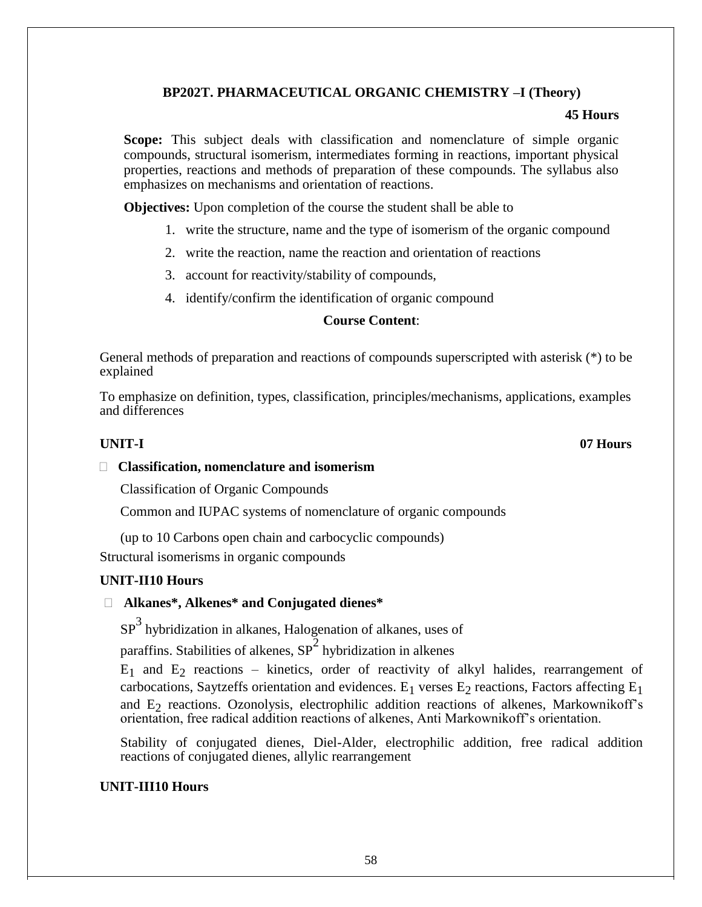# **BP202T. PHARMACEUTICAL ORGANIC CHEMISTRY –I (Theory)**

#### **45 Hours**

**Scope:** This subject deals with classification and nomenclature of simple organic compounds, structural isomerism, intermediates forming in reactions, important physical properties, reactions and methods of preparation of these compounds. The syllabus also emphasizes on mechanisms and orientation of reactions.

**Objectives:** Upon completion of the course the student shall be able to

- 1. write the structure, name and the type of isomerism of the organic compound
- 2. write the reaction, name the reaction and orientation of reactions
- 3. account for reactivity/stability of compounds,
- 4. identify/confirm the identification of organic compound

## **Course Content**:

General methods of preparation and reactions of compounds superscripted with asterisk (\*) to be explained

To emphasize on definition, types, classification, principles/mechanisms, applications, examples and differences

#### **UNIT-I 07 Hours**

#### **Classification, nomenclature and isomerism**

Classification of Organic Compounds

Common and IUPAC systems of nomenclature of organic compounds

(up to 10 Carbons open chain and carbocyclic compounds)

Structural isomerisms in organic compounds

# **UNIT-II10 Hours**

# **Alkanes\*, Alkenes\* and Conjugated dienes\***

 $SP<sup>3</sup>$  hybridization in alkanes, Halogenation of alkanes, uses of

paraffins. Stabilities of alkenes,  $SP^2$  hybridization in alkenes

 $E_1$  and  $E_2$  reactions – kinetics, order of reactivity of alkyl halides, rearrangement of carbocations, Saytzeffs orientation and evidences.  $E_1$  verses  $E_2$  reactions, Factors affecting  $E_1$ and  $E<sub>2</sub>$  reactions. Ozonolysis, electrophilic addition reactions of alkenes, Markownikoff's orientation, free radical addition reactions of alkenes, Anti Markownikoff's orientation.

Stability of conjugated dienes, Diel-Alder, electrophilic addition, free radical addition reactions of conjugated dienes, allylic rearrangement

# **UNIT-III10 Hours**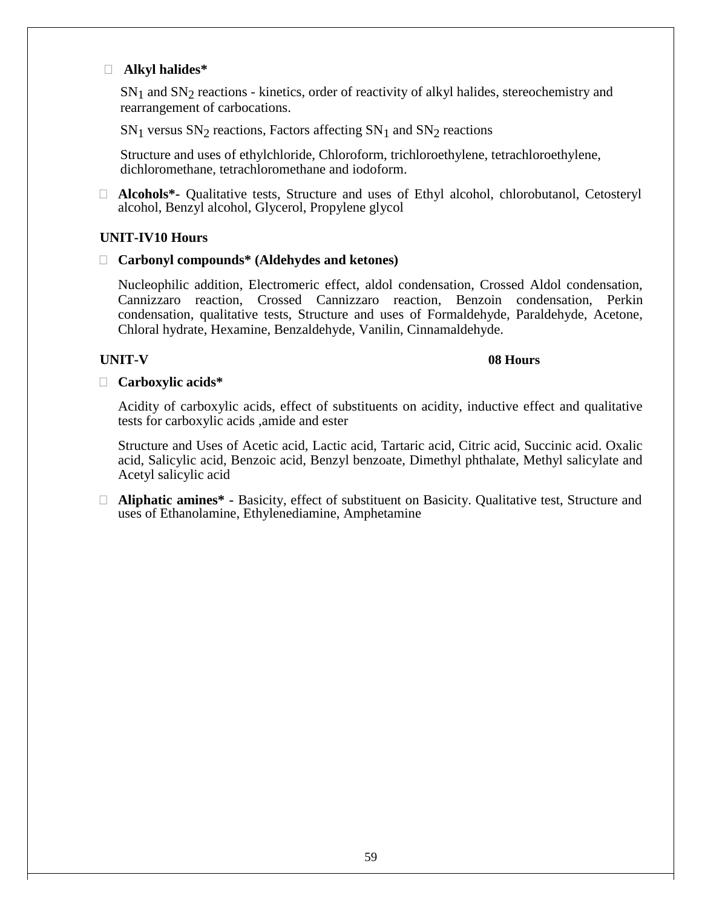# **Alkyl halides\***

 $SN<sub>1</sub>$  and  $SN<sub>2</sub>$  reactions - kinetics, order of reactivity of alkyl halides, stereochemistry and rearrangement of carbocations.

 $SN_1$  versus  $SN_2$  reactions, Factors affecting  $SN_1$  and  $SN_2$  reactions

Structure and uses of ethylchloride, Chloroform, trichloroethylene, tetrachloroethylene, dichloromethane, tetrachloromethane and iodoform.

 **Alcohols\*-** Qualitative tests, Structure and uses of Ethyl alcohol, chlorobutanol, Cetosteryl alcohol, Benzyl alcohol, Glycerol, Propylene glycol

# **UNIT-IV10 Hours**

# **Carbonyl compounds\* (Aldehydes and ketones)**

Nucleophilic addition, Electromeric effect, aldol condensation, Crossed Aldol condensation, Cannizzaro reaction, Crossed Cannizzaro reaction, Benzoin condensation, Perkin condensation, qualitative tests, Structure and uses of Formaldehyde, Paraldehyde, Acetone, Chloral hydrate, Hexamine, Benzaldehyde, Vanilin, Cinnamaldehyde.

## **UNIT-V 08 Hours**

## **Carboxylic acids\***

Acidity of carboxylic acids, effect of substituents on acidity, inductive effect and qualitative tests for carboxylic acids ,amide and ester

Structure and Uses of Acetic acid, Lactic acid, Tartaric acid, Citric acid, Succinic acid. Oxalic acid, Salicylic acid, Benzoic acid, Benzyl benzoate, Dimethyl phthalate, Methyl salicylate and Acetyl salicylic acid

 **Aliphatic amines\* -** Basicity, effect of substituent on Basicity. Qualitative test, Structure and uses of Ethanolamine, Ethylenediamine, Amphetamine